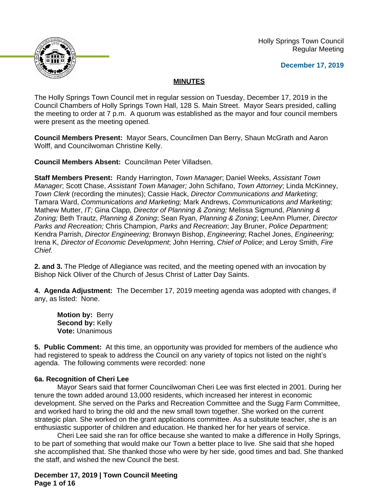Holly Springs Town Council Regular Meeting





The Holly Springs Town Council met in regular session on Tuesday, December 17, 2019 in the Council Chambers of Holly Springs Town Hall, 128 S. Main Street. Mayor Sears presided, calling the meeting to order at 7 p.m. A quorum was established as the mayor and four council members were present as the meeting opened.

**Council Members Present:** Mayor Sears, Councilmen Dan Berry, Shaun McGrath and Aaron Wolff, and Councilwoman Christine Kelly.

**Council Members Absent:** Councilman Peter Villadsen.

**Staff Members Present:** Randy Harrington, *Town Manager*; Daniel Weeks, *Assistant Town Manager*; Scott Chase, *Assistant Town Manager;* John Schifano, *Town Attorney*; Linda McKinney, *Town Clerk* (recording the minutes); Cassie Hack, *Director Communications and Marketing*; Tamara Ward, *Communications and Marketing;* Mark Andrews, *Communications and Marketing;* Mathew Mutter, *IT;* Gina Clapp*, Director of Planning & Zoning;* Melissa Sigmund, *Planning & Zoning;* Beth Trautz, *Planning & Zoning*; Sean Ryan, *Planning & Zoning*; LeeAnn Plumer*, Director Parks and Recreation;* Chris Champion, *Parks and Recreation*; Jay Bruner, *Police Department;* Kendra Parrish, *Director Engineering;* Bronwyn Bishop, *Engineering*; Rachel Jones, *Engineering;* Irena K, *Director of Economic Development*; John Herring, *Chief of Police*; and Leroy Smith, *Fire Chief.*

**2. and 3.** The Pledge of Allegiance was recited, and the meeting opened with an invocation by Bishop Nick Oliver of the Church of Jesus Christ of Latter Day Saints.

**4. Agenda Adjustment:** The December 17, 2019 meeting agenda was adopted with changes, if any, as listed: None.

**Motion by:** Berry **Second by:** Kelly **Vote:** Unanimous

**5. Public Comment:** At this time, an opportunity was provided for members of the audience who had registered to speak to address the Council on any variety of topics not listed on the night's agenda. The following comments were recorded: none

#### **6a. Recognition of Cheri Lee**

Mayor Sears said that former Councilwoman Cheri Lee was first elected in 2001. During her tenure the town added around 13,000 residents, which increased her interest in economic development. She served on the Parks and Recreation Committee and the Sugg Farm Committee, and worked hard to bring the old and the new small town together. She worked on the current strategic plan. She worked on the grant applications committee. As a substitute teacher, she is an enthusiastic supporter of children and education. He thanked her for her years of service.

Cheri Lee said she ran for office because she wanted to make a difference in Holly Springs, to be part of something that would make our Town a better place to live. She said that she hoped she accomplished that. She thanked those who were by her side, good times and bad. She thanked the staff, and wished the new Council the best.

**December 17, 2019 | Town Council Meeting Page 1 of 16**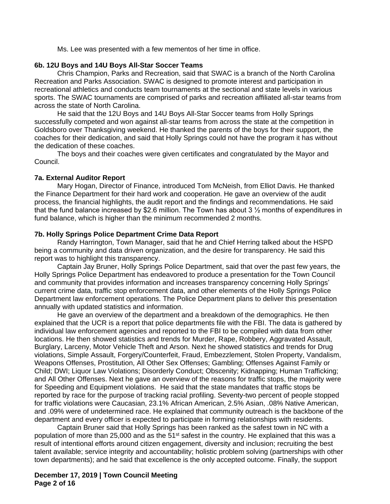Ms. Lee was presented with a few mementos of her time in office.

#### **6b. 12U Boys and 14U Boys All-Star Soccer Teams**

Chris Champion, Parks and Recreation, said that SWAC is a branch of the North Carolina Recreation and Parks Association. SWAC is designed to promote interest and participation in recreational athletics and conducts team tournaments at the sectional and state levels in various sports. The SWAC tournaments are comprised of parks and recreation affiliated all-star teams from across the state of North Carolina.

He said that the 12U Boys and 14U Boys All-Star Soccer teams from Holly Springs successfully competed and won against all-star teams from across the state at the competition in Goldsboro over Thanksgiving weekend. He thanked the parents of the boys for their support, the coaches for their dedication, and said that Holly Springs could not have the program it has without the dedication of these coaches.

The boys and their coaches were given certificates and congratulated by the Mayor and Council.

## **7a. External Auditor Report**

Mary Hogan, Director of Finance, introduced Tom McNeish, from Elliot Davis. He thanked the Finance Department for their hard work and cooperation. He gave an overview of the audit process, the financial highlights, the audit report and the findings and recommendations. He said that the fund balance increased by \$2.6 million. The Town has about 3 ½ months of expenditures in fund balance, which is higher than the minimum recommended 2 months.

## **7b. Holly Springs Police Department Crime Data Report**

Randy Harrington, Town Manager, said that he and Chief Herring talked about the HSPD being a community and data driven organization, and the desire for transparency. He said this report was to highlight this transparency.

Captain Jay Bruner, Holly Springs Police Department, said that over the past few years, the Holly Springs Police Department has endeavored to produce a presentation for the Town Council and community that provides information and increases transparency concerning Holly Springs' current crime data, traffic stop enforcement data, and other elements of the Holly Springs Police Department law enforcement operations. The Police Department plans to deliver this presentation annually with updated statistics and information.

He gave an overview of the department and a breakdown of the demographics. He then explained that the UCR is a report that police departments file with the FBI. The data is gathered by individual law enforcement agencies and reported to the FBI to be compiled with data from other locations. He then showed statistics and trends for Murder, Rape, Robbery, Aggravated Assault, Burglary, Larceny, Motor Vehicle Theft and Arson. Next he showed statistics and trends for Drug violations, Simple Assault, Forgery/Counterfeit, Fraud, Embezzlement, Stolen Property, Vandalism, Weapons Offenses, Prostitution, All Other Sex Offenses; Gambling; Offenses Against Family or Child; DWI; Liquor Law Violations; Disorderly Conduct; Obscenity; Kidnapping; Human Trafficking; and All Other Offenses. Next he gave an overview of the reasons for traffic stops, the majority were for Speeding and Equipment violations. He said that the state mandates that traffic stops be reported by race for the purpose of tracking racial profiling. Seventy-two percent of people stopped for traffic violations were Caucasian, 23.1% African American, 2.5% Asian, .08% Native American, and .09% were of undetermined race. He explained that community outreach is the backbone of the department and every officer is expected to participate in forming relationships with residents.

Captain Bruner said that Holly Springs has been ranked as the safest town in NC with a population of more than 25,000 and as the 51<sup>st</sup> safest in the country. He explained that this was a result of intentional efforts around citizen engagement, diversity and inclusion; recruiting the best talent available; service integrity and accountability; holistic problem solving (partnerships with other town departments); and he said that excellence is the only accepted outcome. Finally, the support

## **December 17, 2019 | Town Council Meeting Page 2 of 16**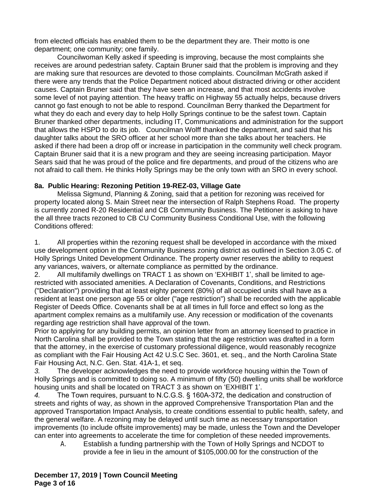from elected officials has enabled them to be the department they are. Their motto is one department; one community; one family.

Councilwoman Kelly asked if speeding is improving, because the most complaints she receives are around pedestrian safety. Captain Bruner said that the problem is improving and they are making sure that resources are devoted to those complaints. Councilman McGrath asked if there were any trends that the Police Department noticed about distracted driving or other accident causes. Captain Bruner said that they have seen an increase, and that most accidents involve some level of not paying attention. The heavy traffic on Highway 55 actually helps, because drivers cannot go fast enough to not be able to respond. Councilman Berry thanked the Department for what they do each and every day to help Holly Springs continue to be the safest town. Captain Bruner thanked other departments, including IT, Communications and administration for the support that allows the HSPD to do its job. Councilman Wolff thanked the department, and said that his daughter talks about the SRO officer at her school more than she talks about her teachers. He asked if there had been a drop off or increase in participation in the community well check program. Captain Bruner said that it is a new program and they are seeing increasing participation. Mayor Sears said that he was proud of the police and fire departments, and proud of the citizens who are not afraid to call them. He thinks Holly Springs may be the only town with an SRO in every school.

## **8a. Public Hearing: Rezoning Petition 19-REZ-03, Village Gate**

Melissa Sigmund, Planning & Zoning, said that a petition for rezoning was received for property located along S. Main Street near the intersection of Ralph Stephens Road. The property is currently zoned R-20 Residential and CB Community Business. The Petitioner is asking to have the all three tracts rezoned to CB CU Community Business Conditional Use, with the following Conditions offered:

1. All properties within the rezoning request shall be developed in accordance with the mixed use development option in the Community Business zoning district as outlined in Section 3.05 C. of Holly Springs United Development Ordinance. The property owner reserves the ability to request any variances, waivers, or alternate compliance as permitted by the ordinance.

2. All multifamily dwellings on TRACT 1 as shown on 'EXHIBIT 1', shall be limited to agerestricted with associated amenities. A Declaration of Covenants, Conditions, and Restrictions ("Declaration") providing that at least eighty percent (80%) of all occupied units shall have as a resident at least one person age 55 or older ("age restriction") shall be recorded with the applicable Register of Deeds Office. Covenants shall be at all times in full force and effect so long as the apartment complex remains as a multifamily use. Any recession or modification of the covenants regarding age restriction shall have approval of the town.

Prior to applying for any building permits, an opinion letter from an attorney licensed to practice in North Carolina shall be provided to the Town stating that the age restriction was drafted in a form that the attorney, in the exercise of customary professional diligence, would reasonably recognize as compliant with the Fair Housing Act 42 U.S.C Sec. 3601, et. seq., and the North Carolina State Fair Housing Act, N.C. Gen. Stat. 41A-1, et seq.

*3.* The developer acknowledges the need to provide workforce housing within the Town of Holly Springs and is committed to doing so. A minimum of fifty (50) dwelling units shall be workforce housing units and shall be located on TRACT 3 as shown on 'EXHIBIT 1'.

*4.* The Town requires, pursuant to N.C.G.S. § 160A-372, the dedication and construction of streets and rights of way, as shown in the approved Comprehensive Transportation Plan and the approved Transportation Impact Analysis, to create conditions essential to public health, safety, and the general welfare. A rezoning may be delayed until such time as necessary transportation improvements (to include offsite improvements) may be made, unless the Town and the Developer can enter into agreements to accelerate the time for completion of these needed improvements.

*A.* Establish a funding partnership with the Town of Holly Springs and NCDOT to provide a fee in lieu in the amount of \$105,000.00 for the construction of the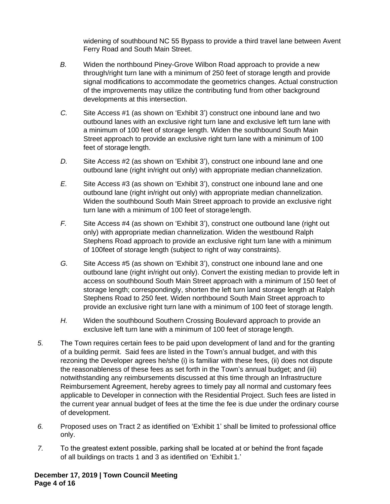widening of southbound NC 55 Bypass to provide a third travel lane between Avent Ferry Road and South Main Street.

- *B.* Widen the northbound Piney-Grove Wilbon Road approach to provide a new through/right turn lane with a minimum of 250 feet of storage length and provide signal modifications to accommodate the geometrics changes. Actual construction of the improvements may utilize the contributing fund from other background developments at this intersection.
- *C.* Site Access #1 (as shown on 'Exhibit 3') construct one inbound lane and two outbound lanes with an exclusive right turn lane and exclusive left turn lane with a minimum of 100 feet of storage length. Widen the southbound South Main Street approach to provide an exclusive right turn lane with a minimum of 100 feet of storage length.
- *D.* Site Access #2 (as shown on 'Exhibit 3'), construct one inbound lane and one outbound lane (right in/right out only) with appropriate median channelization.
- *E.* Site Access #3 (as shown on 'Exhibit 3'), construct one inbound lane and one outbound lane (right in/right out only) with appropriate median channelization. Widen the southbound South Main Street approach to provide an exclusive right turn lane with a minimum of 100 feet of storagelength.
- *F.* Site Access #4 (as shown on 'Exhibit 3'), construct one outbound lane (right out only) with appropriate median channelization. Widen the westbound Ralph Stephens Road approach to provide an exclusive right turn lane with a minimum of 100feet of storage length (subject to right of way constraints).
- *G.* Site Access #5 (as shown on 'Exhibit 3'), construct one inbound lane and one outbound lane (right in/right out only). Convert the existing median to provide left in access on southbound South Main Street approach with a minimum of 150 feet of storage length; correspondingly, shorten the left turn land storage length at Ralph Stephens Road to 250 feet. Widen northbound South Main Street approach to provide an exclusive right turn lane with a minimum of 100 feet of storage length.
- *H.* Widen the southbound Southern Crossing Boulevard approach to provide an exclusive left turn lane with a minimum of 100 feet of storage length.
- *5.* The Town requires certain fees to be paid upon development of land and for the granting of a building permit. Said fees are listed in the Town's annual budget, and with this rezoning the Developer agrees he/she (i) is familiar with these fees, (ii) does not dispute the reasonableness of these fees as set forth in the Town's annual budget; and (iii) notwithstanding any reimbursements discussed at this time through an Infrastructure Reimbursement Agreement, hereby agrees to timely pay all normal and customary fees applicable to Developer in connection with the Residential Project. Such fees are listed in the current year annual budget of fees at the time the fee is due under the ordinary course of development.
- *6.* Proposed uses on Tract 2 as identified on 'Exhibit 1' shall be limited to professional office only.
- *7.* To the greatest extent possible, parking shall be located at or behind the front façade of all buildings on tracts 1 and 3 as identified on 'Exhibit 1.'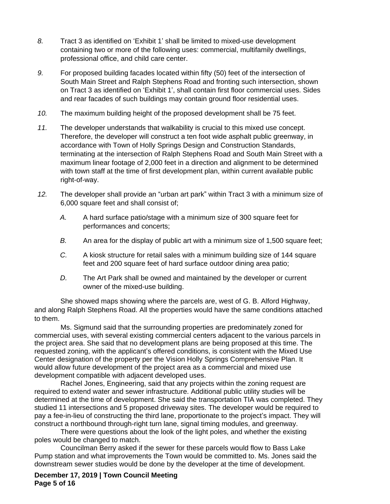- *8.* Tract 3 as identified on 'Exhibit 1' shall be limited to mixed-use development containing two or more of the following uses: commercial, multifamily dwellings, professional office, and child care center.
- *9.* For proposed building facades located within fifty (50) feet of the intersection of South Main Street and Ralph Stephens Road and fronting such intersection, shown on Tract 3 as identified on 'Exhibit 1', shall contain first floor commercial uses. Sides and rear facades of such buildings may contain ground floor residential uses.
- *10.* The maximum building height of the proposed development shall be 75 feet.
- *11.* The developer understands that walkability is crucial to this mixed use concept. Therefore, the developer will construct a ten foot wide asphalt public greenway, in accordance with Town of Holly Springs Design and Construction Standards, terminating at the intersection of Ralph Stephens Road and South Main Street with a maximum linear footage of 2,000 feet in a direction and alignment to be determined with town staff at the time of first development plan, within current available public right-of-way.
- *12.* The developer shall provide an "urban art park" within Tract 3 with a minimum size of 6,000 square feet and shall consist of;
	- *A.* A hard surface patio/stage with a minimum size of 300 square feet for performances and concerts;
	- *B.* An area for the display of public art with a minimum size of 1,500 square feet;
	- *C.* A kiosk structure for retail sales with a minimum building size of 144 square feet and 200 square feet of hard surface outdoor dining area patio;
	- *D.* The Art Park shall be owned and maintained by the developer or current owner of the mixed-use building.

She showed maps showing where the parcels are, west of G. B. Alford Highway, and along Ralph Stephens Road. All the properties would have the same conditions attached to them.

Ms. Sigmund said that the surrounding properties are predominately zoned for commercial uses, with several existing commercial centers adjacent to the various parcels in the project area. She said that no development plans are being proposed at this time. The requested zoning, with the applicant's offered conditions, is consistent with the Mixed Use Center designation of the property per the Vision Holly Springs Comprehensive Plan. It would allow future development of the project area as a commercial and mixed use development compatible with adjacent developed uses.

Rachel Jones, Engineering, said that any projects within the zoning request are required to extend water and sewer infrastructure. Additional public utility studies will be determined at the time of development. She said the transportation TIA was completed. They studied 11 intersections and 5 proposed driveway sites. The developer would be required to pay a fee-in-lieu of constructing the third lane, proportionate to the project's impact. They will construct a northbound through-right turn lane, signal timing modules, and greenway.

There were questions about the look of the light poles, and whether the existing poles would be changed to match.

Councilman Berry asked if the sewer for these parcels would flow to Bass Lake Pump station and what improvements the Town would be committed to. Ms. Jones said the downstream sewer studies would be done by the developer at the time of development.

**December 17, 2019 | Town Council Meeting Page 5 of 16**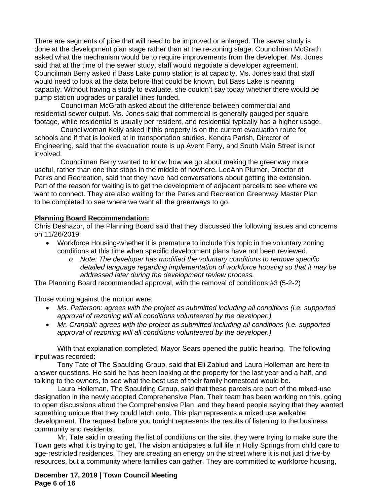There are segments of pipe that will need to be improved or enlarged. The sewer study is done at the development plan stage rather than at the re-zoning stage. Councilman McGrath asked what the mechanism would be to require improvements from the developer. Ms. Jones said that at the time of the sewer study, staff would negotiate a developer agreement. Councilman Berry asked if Bass Lake pump station is at capacity. Ms. Jones said that staff would need to look at the data before that could be known, but Bass Lake is nearing capacity. Without having a study to evaluate, she couldn't say today whether there would be pump station upgrades or parallel lines funded.

Councilman McGrath asked about the difference between commercial and residential sewer output. Ms. Jones said that commercial is generally gauged per square footage, while residential is usually per resident, and residential typically has a higher usage.

Councilwoman Kelly asked if this property is on the current evacuation route for schools and if that is looked at in transportation studies. Kendra Parish, Director of Engineering, said that the evacuation route is up Avent Ferry, and South Main Street is not involved.

Councilman Berry wanted to know how we go about making the greenway more useful, rather than one that stops in the middle of nowhere. LeeAnn Plumer, Director of Parks and Recreation, said that they have had conversations about getting the extension. Part of the reason for waiting is to get the development of adjacent parcels to see where we want to connect. They are also waiting for the Parks and Recreation Greenway Master Plan to be completed to see where we want all the greenways to go.

## **Planning Board Recommendation:**

Chris Deshazor, of the Planning Board said that they discussed the following issues and concerns on 11/26/2019:

- Workforce Housing-whether it is premature to include this topic in the voluntary zoning conditions at this time when specific development plans have not been reviewed.
	- *o Note: The developer has modified the voluntary conditions to remove specific detailed language regarding implementation of workforce housing so that it may be addressed later during the development review process.*

The Planning Board recommended approval, with the removal of conditions #3 (5-2-2)

Those voting against the motion were:

- *Ms. Patterson: agrees with the project as submitted including all conditions (i.e. supported approval of rezoning will all conditions volunteered by the developer.)*
- *Mr. Crandall: agrees with the project as submitted including all conditions (i.e. supported approval of rezoning will all conditions volunteered by the developer.)*

With that explanation completed, Mayor Sears opened the public hearing. The following input was recorded:

Tony Tate of The Spaulding Group, said that Eli Zablud and Laura Holleman are here to answer questions. He said he has been looking at the property for the last year and a half, and talking to the owners, to see what the best use of their family homestead would be.

Laura Holleman, The Spaulding Group, said that these parcels are part of the mixed-use designation in the newly adopted Comprehensive Plan. Their team has been working on this, going to open discussions about the Comprehensive Plan, and they heard people saying that they wanted something unique that they could latch onto. This plan represents a mixed use walkable development. The request before you tonight represents the results of listening to the business community and residents.

Mr. Tate said in creating the list of conditions on the site, they were trying to make sure the Town gets what it is trying to get. The vision anticipates a full life in Holly Springs from child care to age-restricted residences. They are creating an energy on the street where it is not just drive-by resources, but a community where families can gather. They are committed to workforce housing,

**December 17, 2019 | Town Council Meeting Page 6 of 16**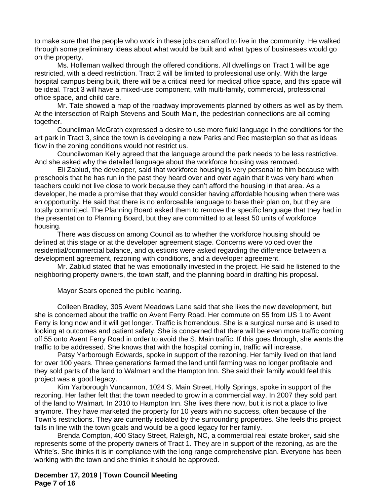to make sure that the people who work in these jobs can afford to live in the community. He walked through some preliminary ideas about what would be built and what types of businesses would go on the property.

Ms. Holleman walked through the offered conditions. All dwellings on Tract 1 will be age restricted, with a deed restriction. Tract 2 will be limited to professional use only. With the large hospital campus being built, there will be a critical need for medical office space, and this space will be ideal. Tract 3 will have a mixed-use component, with multi-family, commercial, professional office space, and child care.

Mr. Tate showed a map of the roadway improvements planned by others as well as by them. At the intersection of Ralph Stevens and South Main, the pedestrian connections are all coming together.

Councilman McGrath expressed a desire to use more fluid language in the conditions for the art park in Tract 3, since the town is developing a new Parks and Rec masterplan so that as ideas flow in the zoning conditions would not restrict us.

Councilwoman Kelly agreed that the language around the park needs to be less restrictive. And she asked why the detailed language about the workforce housing was removed.

Eli Zablud, the developer, said that workforce housing is very personal to him because with preschools that he has run in the past they heard over and over again that it was very hard when teachers could not live close to work because they can't afford the housing in that area. As a developer, he made a promise that they would consider having affordable housing when there was an opportunity. He said that there is no enforceable language to base their plan on, but they are totally committed. The Planning Board asked them to remove the specific language that they had in the presentation to Planning Board, but they are committed to at least 50 units of workforce housing.

There was discussion among Council as to whether the workforce housing should be defined at this stage or at the developer agreement stage. Concerns were voiced over the residential/commercial balance, and questions were asked regarding the difference between a development agreement, rezoning with conditions, and a developer agreement.

Mr. Zablud stated that he was emotionally invested in the project. He said he listened to the neighboring property owners, the town staff, and the planning board in drafting his proposal.

Mayor Sears opened the public hearing.

Colleen Bradley, 305 Avent Meadows Lane said that she likes the new development, but she is concerned about the traffic on Avent Ferry Road. Her commute on 55 from US 1 to Avent Ferry is long now and it will get longer. Traffic is horrendous. She is a surgical nurse and is used to looking at outcomes and patient safety. She is concerned that there will be even more traffic coming off 55 onto Avent Ferry Road in order to avoid the S. Main traffic. If this goes through, she wants the traffic to be addressed. She knows that with the hospital coming in, traffic will increase.

Patsy Yarborough Edwards, spoke in support of the rezoning. Her family lived on that land for over 100 years. Three generations farmed the land until farming was no longer profitable and they sold parts of the land to Walmart and the Hampton Inn. She said their family would feel this project was a good legacy.

Kim Yarborough Vuncannon, 1024 S. Main Street, Holly Springs, spoke in support of the rezoning. Her father felt that the town needed to grow in a commercial way. In 2007 they sold part of the land to Walmart. In 2010 to Hampton Inn. She lives there now, but it is not a place to live anymore. They have marketed the property for 10 years with no success, often because of the Town's restrictions. They are currently isolated by the surrounding properties. She feels this project falls in line with the town goals and would be a good legacy for her family.

Brenda Compton, 400 Stacy Street, Raleigh, NC, a commercial real estate broker, said she represents some of the property owners of Tract 1. They are in support of the rezoning, as are the White's. She thinks it is in compliance with the long range comprehensive plan. Everyone has been working with the town and she thinks it should be approved.

**December 17, 2019 | Town Council Meeting Page 7 of 16**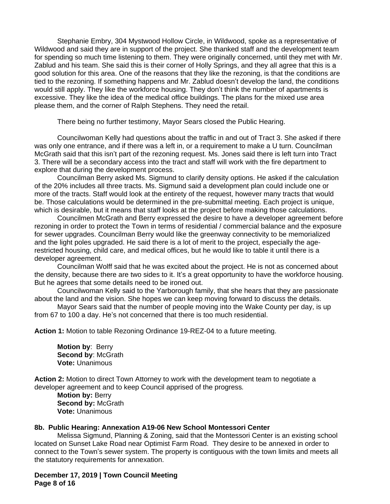Stephanie Embry, 304 Mystwood Hollow Circle, in Wildwood, spoke as a representative of Wildwood and said they are in support of the project. She thanked staff and the development team for spending so much time listening to them. They were originally concerned, until they met with Mr. Zablud and his team. She said this is their corner of Holly Springs, and they all agree that this is a good solution for this area. One of the reasons that they like the rezoning, is that the conditions are tied to the rezoning. If something happens and Mr. Zablud doesn't develop the land, the conditions would still apply. They like the workforce housing. They don't think the number of apartments is excessive. They like the idea of the medical office buildings. The plans for the mixed use area please them, and the corner of Ralph Stephens. They need the retail.

There being no further testimony, Mayor Sears closed the Public Hearing.

Councilwoman Kelly had questions about the traffic in and out of Tract 3. She asked if there was only one entrance, and if there was a left in, or a requirement to make a U turn. Councilman McGrath said that this isn't part of the rezoning request. Ms. Jones said there is left turn into Tract 3. There will be a secondary access into the tract and staff will work with the fire department to explore that during the development process.

Councilman Berry asked Ms. Sigmund to clarify density options. He asked if the calculation of the 20% includes all three tracts. Ms. Sigmund said a development plan could include one or more of the tracts. Staff would look at the entirety of the request, however many tracts that would be. Those calculations would be determined in the pre-submittal meeting. Each project is unique, which is desirable, but it means that staff looks at the project before making those calculations.

Councilmen McGrath and Berry expressed the desire to have a developer agreement before rezoning in order to protect the Town in terms of residential / commercial balance and the exposure for sewer upgrades. Councilman Berry would like the greenway connectivity to be memorialized and the light poles upgraded. He said there is a lot of merit to the project, especially the agerestricted housing, child care, and medical offices, but he would like to table it until there is a developer agreement.

Councilman Wolff said that he was excited about the project. He is not as concerned about the density, because there are two sides to it. It's a great opportunity to have the workforce housing. But he agrees that some details need to be ironed out.

Councilwoman Kelly said to the Yarborough family, that she hears that they are passionate about the land and the vision. She hopes we can keep moving forward to discuss the details.

Mayor Sears said that the number of people moving into the Wake County per day, is up from 67 to 100 a day. He's not concerned that there is too much residential.

**Action 1:** Motion to table Rezoning Ordinance 19-REZ-04 to a future meeting.

**Motion by**: Berry **Second by**: McGrath **Vote:** Unanimous

**Action 2:** Motion to direct Town Attorney to work with the development team to negotiate a developer agreement and to keep Council apprised of the progress*.*

**Motion by:** Berry **Second by:** McGrath **Vote:** Unanimous

#### **8b. Public Hearing: Annexation A19-06 New School Montessori Center**

Melissa Sigmund, Planning & Zoning, said that the Montessori Center is an existing school located on Sunset Lake Road near Optimist Farm Road. They desire to be annexed in order to connect to the Town's sewer system. The property is contiguous with the town limits and meets all the statutory requirements for annexation.

**December 17, 2019 | Town Council Meeting Page 8 of 16**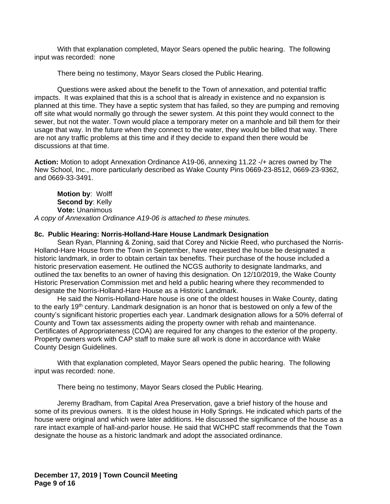With that explanation completed, Mayor Sears opened the public hearing. The following input was recorded: none

There being no testimony, Mayor Sears closed the Public Hearing.

Questions were asked about the benefit to the Town of annexation, and potential traffic impacts. It was explained that this is a school that is already in existence and no expansion is planned at this time. They have a septic system that has failed, so they are pumping and removing off site what would normally go through the sewer system. At this point they would connect to the sewer, but not the water. Town would place a temporary meter on a manhole and bill them for their usage that way. In the future when they connect to the water, they would be billed that way. There are not any traffic problems at this time and if they decide to expand then there would be discussions at that time.

**Action:** Motion to adopt Annexation Ordinance A19-06, annexing 11.22 -/+ acres owned by The New School, Inc., more particularly described as Wake County Pins 0669-23-8512, 0669-23-9362, and 0669-33-3491.

**Motion by**: Wolff **Second by**: Kelly **Vote:** Unanimous *A copy of Annexation Ordinance A19-06 is attached to these minutes.*

## **8c. Public Hearing: Norris-Holland-Hare House Landmark Designation**

Sean Ryan, Planning & Zoning, said that Corey and Nickie Reed, who purchased the Norris-Holland-Hare House from the Town in September, have requested the house be designated a historic landmark, in order to obtain certain tax benefits. Their purchase of the house included a historic preservation easement. He outlined the NCGS authority to designate landmarks, and outlined the tax benefits to an owner of having this designation. On 12/10/2019, the Wake County Historic Preservation Commission met and held a public hearing where they recommended to designate the Norris-Holland-Hare House as a Historic Landmark.

He said the Norris-Holland-Hare house is one of the oldest houses in Wake County, dating to the early 19th century. Landmark designation is an honor that is bestowed on only a few of the county's significant historic properties each year. Landmark designation allows for a 50% deferral of County and Town tax assessments aiding the property owner with rehab and maintenance. Certificates of Appropriateness (COA) are required for any changes to the exterior of the property. Property owners work with CAP staff to make sure all work is done in accordance with Wake County Design Guidelines.

With that explanation completed, Mayor Sears opened the public hearing. The following input was recorded: none.

There being no testimony, Mayor Sears closed the Public Hearing.

Jeremy Bradham, from Capital Area Preservation, gave a brief history of the house and some of its previous owners. It is the oldest house in Holly Springs. He indicated which parts of the house were original and which were later additions. He discussed the significance of the house as a rare intact example of hall-and-parlor house. He said that WCHPC staff recommends that the Town designate the house as a historic landmark and adopt the associated ordinance.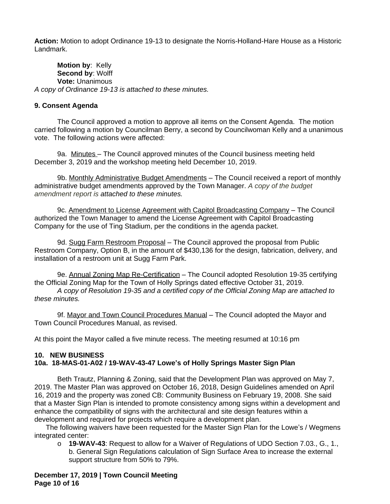**Action:** Motion to adopt Ordinance 19-13 to designate the Norris-Holland-Hare House as a Historic Landmark.

**Motion by**: Kelly **Second by**: Wolff **Vote:** Unanimous *A copy of Ordinance 19-13 is attached to these minutes.*

## **9. Consent Agenda**

The Council approved a motion to approve all items on the Consent Agenda. The motion carried following a motion by Councilman Berry, a second by Councilwoman Kelly and a unanimous vote. The following actions were affected:

9a. Minutes - The Council approved minutes of the Council business meeting held December 3, 2019 and the workshop meeting held December 10, 2019.

9b. Monthly Administrative Budget Amendments - The Council received a report of monthly administrative budget amendments approved by the Town Manager. *A copy of the budget amendment report is attached to these minutes.*

9c. Amendment to License Agreement with Capitol Broadcasting Company - The Council authorized the Town Manager to amend the License Agreement with Capitol Broadcasting Company for the use of Ting Stadium, per the conditions in the agenda packet.

9d. Sugg Farm Restroom Proposal – The Council approved the proposal from Public Restroom Company, Option B, in the amount of \$430,136 for the design, fabrication, delivery, and installation of a restroom unit at Sugg Farm Park.

9e. Annual Zoning Map Re-Certification - The Council adopted Resolution 19-35 certifying the Official Zoning Map for the Town of Holly Springs dated effective October 31, 2019. *A copy of Resolution 19-35 and a certified copy of the Official Zoning Map are attached to these minutes.*

9f. Mayor and Town Council Procedures Manual - The Council adopted the Mayor and Town Council Procedures Manual, as revised.

At this point the Mayor called a five minute recess. The meeting resumed at 10:16 pm

#### **10. NEW BUSINESS 10a. 18-MAS-01-A02 / 19-WAV-43-47 Lowe's of Holly Springs Master Sign Plan**

Beth Trautz, Planning & Zoning, said that the Development Plan was approved on May 7, 2019. The Master Plan was approved on October 16, 2018, Design Guidelines amended on April 16, 2019 and the property was zoned CB: Community Business on February 19, 2008. She said that a Master Sign Plan is intended to promote consistency among signs within a development and enhance the compatibility of signs with the architectural and site design features within a development and required for projects which require a development plan.

The following waivers have been requested for the Master Sign Plan for the Lowe's / Wegmens integrated center:

o **19-WAV-43**: Request to allow for a Waiver of Regulations of UDO Section 7.03., G., 1., b. General Sign Regulations calculation of Sign Surface Area to increase the external support structure from 50% to 79%.

**December 17, 2019 | Town Council Meeting Page 10 of 16**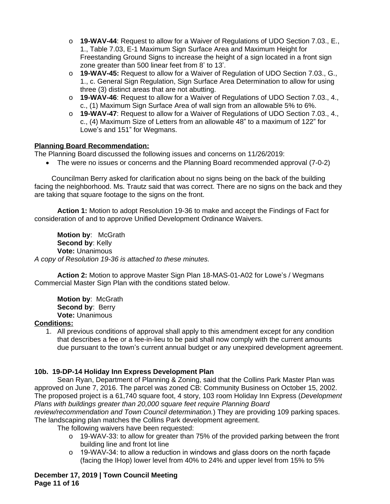- o **19-WAV-44**: Request to allow for a Waiver of Regulations of UDO Section 7.03., E., 1., Table 7.03, E-1 Maximum Sign Surface Area and Maximum Height for Freestanding Ground Signs to increase the height of a sign located in a front sign zone greater than 500 linear feet from 8' to 13'.
- o **19-WAV-45:** Request to allow for a Waiver of Regulation of UDO Section 7.03., G., 1., c. General Sign Regulation, Sign Surface Area Determination to allow for using three (3) distinct areas that are not abutting.
- o **19-WAV-46**: Request to allow for a Waiver of Regulations of UDO Section 7.03., 4., c., (1) Maximum Sign Surface Area of wall sign from an allowable 5% to 6%.
- o **19-WAV-47**: Request to allow for a Waiver of Regulations of UDO Section 7.03., 4., c., (4) Maximum Size of Letters from an allowable 48" to a maximum of 122" for Lowe's and 151" for Wegmans.

## **Planning Board Recommendation:**

The Planning Board discussed the following issues and concerns on 11/26/2019:

The were no issues or concerns and the Planning Board recommended approval (7-0-2)

Councilman Berry asked for clarification about no signs being on the back of the building facing the neighborhood. Ms. Trautz said that was correct. There are no signs on the back and they are taking that square footage to the signs on the front.

**Action 1:** Motion to adopt Resolution 19-36 to make and accept the Findings of Fact for consideration of and to approve Unified Development Ordinance Waivers.

**Motion by**: McGrath **Second by**: Kelly **Vote:** Unanimous *A copy of Resolution 19-36 is attached to these minutes.*

**Action 2:** Motion to approve Master Sign Plan 18-MAS-01-A02 for Lowe's / Wegmans Commercial Master Sign Plan with the conditions stated below.

**Motion by**: McGrath **Second by: Berry Vote:** Unanimous

## **Conditions:**

1. All previous conditions of approval shall apply to this amendment except for any condition that describes a fee or a fee-in-lieu to be paid shall now comply with the current amounts due pursuant to the town's current annual budget or any unexpired development agreement.

## **10b. 19-DP-14 Holiday Inn Express Development Plan**

Sean Ryan, Department of Planning & Zoning, said that the Collins Park Master Plan was approved on June 7, 2016. The parcel was zoned CB: Community Business on October 15, 2002. The proposed project is a 61,740 square foot, 4 story, 103 room Holiday Inn Express (*Development Plans with buildings greater than 20,000 square feet require Planning Board* 

*review/recommendation and Town Council determination.*) They are providing 109 parking spaces. The landscaping plan matches the Collins Park development agreement.

The following waivers have been requested:

- $\circ$  19-WAV-33: to allow for greater than 75% of the provided parking between the front building line and front lot line
- $\circ$  19-WAV-34: to allow a reduction in windows and glass doors on the north façade (facing the IHop) lower level from 40% to 24% and upper level from 15% to 5%

**December 17, 2019 | Town Council Meeting Page 11 of 16**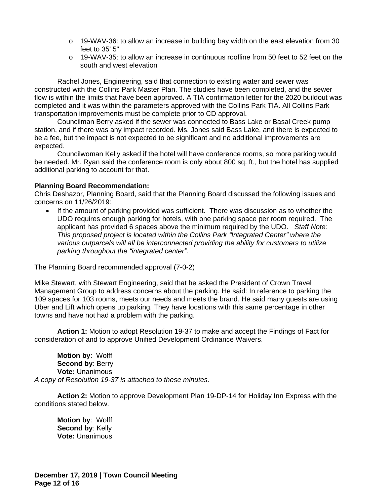- $\circ$  19-WAV-36: to allow an increase in building bay width on the east elevation from 30 feet to 35' 5"
- $\circ$  19-WAV-35: to allow an increase in continuous roofline from 50 feet to 52 feet on the south and west elevation

Rachel Jones, Engineering, said that connection to existing water and sewer was constructed with the Collins Park Master Plan. The studies have been completed, and the sewer flow is within the limits that have been approved. A TIA confirmation letter for the 2020 buildout was completed and it was within the parameters approved with the Collins Park TIA. All Collins Park transportation improvements must be complete prior to CD approval.

Councilman Berry asked if the sewer was connected to Bass Lake or Basal Creek pump station, and if there was any impact recorded. Ms. Jones said Bass Lake, and there is expected to be a fee, but the impact is not expected to be significant and no additional improvements are expected.

Councilwoman Kelly asked if the hotel will have conference rooms, so more parking would be needed. Mr. Ryan said the conference room is only about 800 sq. ft., but the hotel has supplied additional parking to account for that.

## **Planning Board Recommendation:**

Chris Deshazor, Planning Board, said that the Planning Board discussed the following issues and concerns on 11/26/2019:

 If the amount of parking provided was sufficient. There was discussion as to whether the UDO requires enough parking for hotels, with one parking space per room required. The applicant has provided 6 spaces above the minimum required by the UDO. *Staff Note: This proposed project is located within the Collins Park "Integrated Center" where the various outparcels will all be interconnected providing the ability for customers to utilize parking throughout the "integrated center".* 

The Planning Board recommended approval (7-0-2)

Mike Stewart, with Stewart Engineering, said that he asked the President of Crown Travel Management Group to address concerns about the parking. He said: In reference to parking the 109 spaces for 103 rooms, meets our needs and meets the brand. He said many guests are using Uber and Lift which opens up parking. They have locations with this same percentage in other towns and have not had a problem with the parking.

**Action 1:** Motion to adopt Resolution 19-37 to make and accept the Findings of Fact for consideration of and to approve Unified Development Ordinance Waivers.

**Motion by**: Wolff **Second by**: Berry **Vote:** Unanimous *A copy of Resolution 19-37 is attached to these minutes.*

**Action 2:** Motion to approve Development Plan 19-DP-14 for Holiday Inn Express with the conditions stated below.

**Motion by**: Wolff **Second by: Kelly Vote:** Unanimous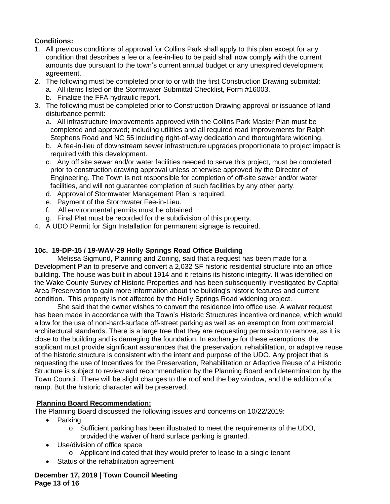# **Conditions:**

- 1. All previous conditions of approval for Collins Park shall apply to this plan except for any condition that describes a fee or a fee-in-lieu to be paid shall now comply with the current amounts due pursuant to the town's current annual budget or any unexpired development agreement.
- 2. The following must be completed prior to or with the first Construction Drawing submittal:
	- a. All items listed on the Stormwater Submittal Checklist, Form #16003.
	- b. Finalize the FFA hydraulic report.
- 3. The following must be completed prior to Construction Drawing approval or issuance of land disturbance permit:
	- a. All infrastructure improvements approved with the Collins Park Master Plan must be completed and approved; including utilities and all required road improvements for Ralph Stephens Road and NC 55 including right-of-way dedication and thoroughfare widening.
	- b. A fee-in-lieu of downstream sewer infrastructure upgrades proportionate to project impact is required with this development.
	- c. Any off site sewer and/or water facilities needed to serve this project, must be completed prior to construction drawing approval unless otherwise approved by the Director of Engineering. The Town is not responsible for completion of off-site sewer and/or water facilities, and will not guarantee completion of such facilities by any other party.
	- d. Approval of Stormwater Management Plan is required.
	- e. Payment of the Stormwater Fee-in-Lieu.
	- f. All environmental permits must be obtained
	- g. Final Plat must be recorded for the subdivision of this property.
- 4. A UDO Permit for Sign Installation for permanent signage is required.

## **10c. 19-DP-15 / 19-WAV-29 Holly Springs Road Office Building**

Melissa Sigmund, Planning and Zoning, said that a request has been made for a Development Plan to preserve and convert a 2,032 SF historic residential structure into an office building. The house was built in about 1914 and it retains its historic integrity. It was identified on the Wake County Survey of Historic Properties and has been subsequently investigated by Capital Area Preservation to gain more information about the building's historic features and current condition. This property is not affected by the Holly Springs Road widening project.

She said that the owner wishes to convert the residence into office use. A waiver request has been made in accordance with the Town's Historic Structures incentive ordinance, which would allow for the use of non-hard-surface off-street parking as well as an exemption from commercial architectural standards. There is a large tree that they are requesting permission to remove, as it is close to the building and is damaging the foundation. In exchange for these exemptions, the applicant must provide significant assurances that the preservation, rehabilitation, or adaptive reuse of the historic structure is consistent with the intent and purpose of the UDO. Any project that is requesting the use of Incentives for the Preservation, Rehabilitation or Adaptive Reuse of a Historic Structure is subject to review and recommendation by the Planning Board and determination by the Town Council. There will be slight changes to the roof and the bay window, and the addition of a ramp. But the historic character will be preserved.

## **Planning Board Recommendation:**

The Planning Board discussed the following issues and concerns on 10/22/2019:

- Parking
	- o Sufficient parking has been illustrated to meet the requirements of the UDO, provided the waiver of hard surface parking is granted.
- Use/division of office space
	- o Applicant indicated that they would prefer to lease to a single tenant
- Status of the rehabilitation agreement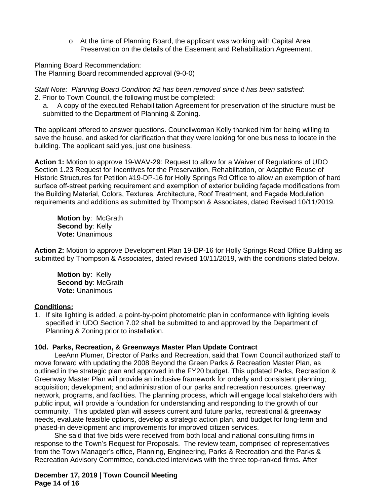o At the time of Planning Board, the applicant was working with Capital Area Preservation on the details of the Easement and Rehabilitation Agreement.

Planning Board Recommendation: The Planning Board recommended approval (9-0-0)

*Staff Note: Planning Board Condition #2 has been removed since it has been satisfied:* 2. Prior to Town Council, the following must be completed:

a. A copy of the executed Rehabilitation Agreement for preservation of the structure must be submitted to the Department of Planning & Zoning.

The applicant offered to answer questions. Councilwoman Kelly thanked him for being willing to save the house, and asked for clarification that they were looking for one business to locate in the building. The applicant said yes, just one business.

**Action 1:** Motion to approve 19-WAV-29: Request to allow for a Waiver of Regulations of UDO Section 1.23 Request for Incentives for the Preservation, Rehabilitation, or Adaptive Reuse of Historic Structures for Petition #19-DP-16 for Holly Springs Rd Office to allow an exemption of hard surface off-street parking requirement and exemption of exterior building façade modifications from the Building Material, Colors, Textures, Architecture, Roof Treatment, and Façade Modulation requirements and additions as submitted by Thompson & Associates, dated Revised 10/11/2019.

**Motion by**: McGrath **Second by**: Kelly **Vote:** Unanimous

**Action 2:** Motion to approve Development Plan 19-DP-16 for Holly Springs Road Office Building as submitted by Thompson & Associates, dated revised 10/11/2019, with the conditions stated below.

**Motion by**: Kelly **Second by**: McGrath **Vote:** Unanimous

## **Conditions:**

1. If site lighting is added, a point-by-point photometric plan in conformance with lighting levels specified in UDO Section 7.02 shall be submitted to and approved by the Department of Planning & Zoning prior to installation.

## **10d. Parks, Recreation, & Greenways Master Plan Update Contract**

LeeAnn Plumer, Director of Parks and Recreation, said that Town Council authorized staff to move forward with updating the 2008 Beyond the Green Parks & Recreation Master Plan, as outlined in the strategic plan and approved in the FY20 budget. This updated Parks, Recreation & Greenway Master Plan will provide an inclusive framework for orderly and consistent planning; acquisition; development; and administration of our parks and recreation resources, greenway network, programs, and facilities. The planning process, which will engage local stakeholders with public input, will provide a foundation for understanding and responding to the growth of our community. This updated plan will assess current and future parks, recreational & greenway needs, evaluate feasible options, develop a strategic action plan, and budget for long-term and phased-in development and improvements for improved citizen services.

She said that five bids were received from both local and national consulting firms in response to the Town's Request for Proposals. The review team, comprised of representatives from the Town Manager's office, Planning, Engineering, Parks & Recreation and the Parks & Recreation Advisory Committee, conducted interviews with the three top-ranked firms. After

**December 17, 2019 | Town Council Meeting Page 14 of 16**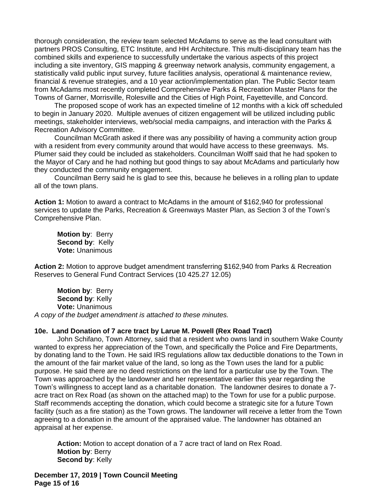thorough consideration, the review team selected McAdams to serve as the lead consultant with partners PROS Consulting, ETC Institute, and HH Architecture. This multi-disciplinary team has the combined skills and experience to successfully undertake the various aspects of this project including a site inventory, GIS mapping & greenway network analysis, community engagement, a statistically valid public input survey, future facilities analysis, operational & maintenance review, financial & revenue strategies, and a 10 year action/implementation plan. The Public Sector team from McAdams most recently completed Comprehensive Parks & Recreation Master Plans for the Towns of Garner, Morrisville, Rolesville and the Cities of High Point, Fayetteville, and Concord.

The proposed scope of work has an expected timeline of 12 months with a kick off scheduled to begin in January 2020. Multiple avenues of citizen engagement will be utilized including public meetings, stakeholder interviews, web/social media campaigns, and interaction with the Parks & Recreation Advisory Committee.

Councilman McGrath asked if there was any possibility of having a community action group with a resident from every community around that would have access to these greenways. Ms. Plumer said they could be included as stakeholders. Councilman Wolff said that he had spoken to the Mayor of Cary and he had nothing but good things to say about McAdams and particularly how they conducted the community engagement.

Councilman Berry said he is glad to see this, because he believes in a rolling plan to update all of the town plans.

**Action 1:** Motion to award a contract to McAdams in the amount of \$162,940 for professional services to update the Parks, Recreation & Greenways Master Plan, as Section 3 of the Town's Comprehensive Plan.

**Motion by**: Berry **Second by**: Kelly **Vote:** Unanimous

**Action 2:** Motion to approve budget amendment transferring \$162,940 from Parks & Recreation Reserves to General Fund Contract Services (10 425.27 12.05)

**Motion by**: Berry **Second by**: Kelly **Vote:** Unanimous *A copy of the budget amendment is attached to these minutes.*

#### **10e. Land Donation of 7 acre tract by Larue M. Powell (Rex Road Tract)**

John Schifano, Town Attorney, said that a resident who owns land in southern Wake County wanted to express her appreciation of the Town, and specifically the Police and Fire Departments, by donating land to the Town. He said IRS regulations allow tax deductible donations to the Town in the amount of the fair market value of the land, so long as the Town uses the land for a public purpose. He said there are no deed restrictions on the land for a particular use by the Town. The Town was approached by the landowner and her representative earlier this year regarding the Town's willingness to accept land as a charitable donation. The landowner desires to donate a 7 acre tract on Rex Road (as shown on the attached map) to the Town for use for a public purpose. Staff recommends accepting the donation, which could become a strategic site for a future Town facility (such as a fire station) as the Town grows. The landowner will receive a letter from the Town agreeing to a donation in the amount of the appraised value. The landowner has obtained an appraisal at her expense.

**Action:** Motion to accept donation of a 7 acre tract of land on Rex Road. **Motion by**: Berry **Second by: Kelly** 

**December 17, 2019 | Town Council Meeting Page 15 of 16**